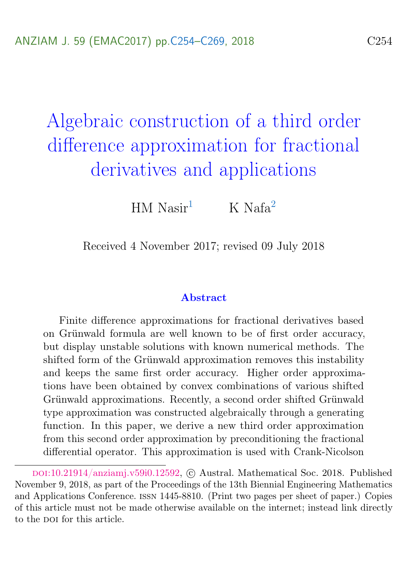# <span id="page-0-0"></span>Algebraic construction of a third order difference approximation for fractional derivatives and applications

HM  $N$ asir<sup>[1](#page-15-1)</sup> K Nafa<sup>[2](#page-15-0)</sup>

Received 4 November 2017; revised 09 July 2018

#### Abstract

Finite difference approximations for fractional derivatives based on Grünwald formula are well known to be of first order accuracy, but display unstable solutions with known numerical methods. The shifted form of the Grünwald approximation removes this instability and keeps the same first order accuracy. Higher order approximations have been obtained by convex combinations of various shifted Grünwald approximations. Recently, a second order shifted Grünwald type approximation was constructed algebraically through a generating function. In this paper, we derive a new third order approximation from this second order approximation by preconditioning the fractional differential operator. This approximation is used with Crank-Nicolson

doi:[10.21914/anziamj.v59i0.12592,](https://doi.org/10.21914/anziamj.v59i0.12592) c Austral. Mathematical Soc. 2018. Published November 9, 2018, as part of the Proceedings of the 13th Biennial Engineering Mathematics and Applications Conference. issn 1445-8810. (Print two pages per sheet of paper.) Copies of this article must not be made otherwise available on the internet; instead link directly to the pot for this article.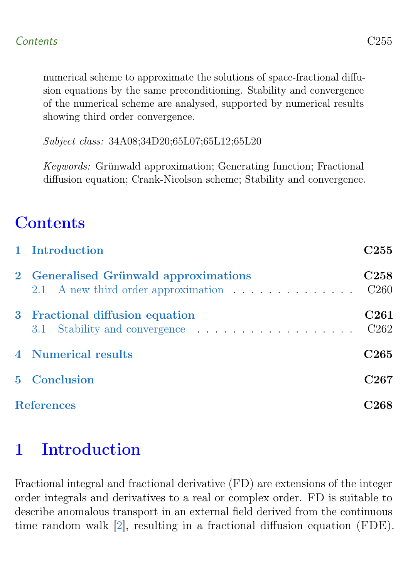<span id="page-1-1"></span>numerical scheme to approximate the solutions of space-fractional diffusion equations by the same preconditioning. Stability and convergence of the numerical scheme are analysed, supported by numerical results showing third order convergence.

Subject class: 34A08;34D20;65L07;65L12;65L20

Keywords: Grünwald approximation; Generating function; Fractional diffusion equation; Crank-Nicolson scheme; Stability and convergence.

# **Contents**

|                   | 1 Introduction                                                                                             | C255                                 |
|-------------------|------------------------------------------------------------------------------------------------------------|--------------------------------------|
|                   | 2 Generalised Grünwald approximations<br>2.1 A new third order approximation $\ldots \ldots \ldots \ldots$ | C <sub>258</sub><br>C <sub>260</sub> |
|                   | 3 Fractional diffusion equation<br>3.1 Stability and convergence                                           | C <sub>261</sub><br>C <sub>262</sub> |
|                   | <b>4</b> Numerical results                                                                                 | C <sub>265</sub>                     |
|                   | 5 Conclusion                                                                                               | C <sub>267</sub>                     |
| <b>References</b> |                                                                                                            |                                      |

# <span id="page-1-0"></span>1 Introduction

Fractional integral and fractional derivative (FD) are extensions of the integer order integrals and derivatives to a real or complex order. FD is suitable to describe anomalous transport in an external field derived from the continuous time random walk [\[2\]](#page-14-1), resulting in a fractional diffusion equation (FDE).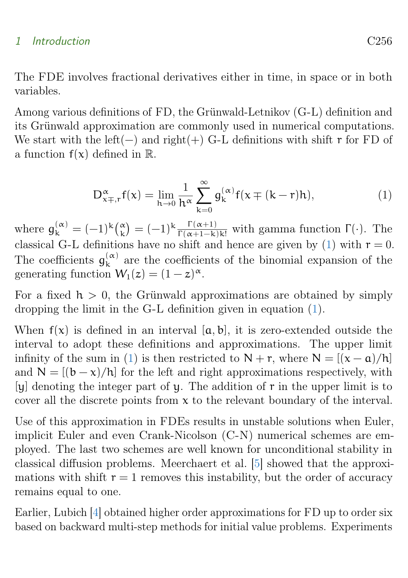#### <span id="page-2-1"></span>1 Introduction C256

The FDE involves fractional derivatives either in time, in space or in both variables.

Among various definitions of FD, the Grünwald-Letnikov (G-L) definition and its Grünwald approximation are commonly used in numerical computations. We start with the left(−) and right(+) G-L definitions with shift  $r$  for FD of a function  $f(x)$  defined in  $\mathbb{R}$ .

<span id="page-2-0"></span>
$$
D_{x\mp,r}^{\alpha}f(x) = \lim_{h \to 0} \frac{1}{h^{\alpha}} \sum_{k=0}^{\infty} g_{k}^{(\alpha)} f(x \mp (k-r)h), \tag{1}
$$

where  $\mathfrak{g}_{k}^{(\alpha)} = (-1)^{k} \binom{\alpha}{k} = (-1)^{k} \frac{\Gamma(\alpha+1)}{\Gamma(\alpha+1-k)k!}$  with gamma function  $\Gamma(\cdot)$ . The classical G-L definitions have no shift and hence are given by [\(1\)](#page-2-0) with  $r = 0$ . The coefficients  $g_k^{(\alpha)}$  $\kappa$  are the coefficients of the binomial expansion of the generating function  $W_1(z) = (1-z)^{\alpha}$ .

For a fixed  $h > 0$ , the Grünwald approximations are obtained by simply dropping the limit in the G-L definition given in equation [\(1\)](#page-2-0).

When  $f(x)$  is defined in an interval  $[a, b]$ , it is zero-extended outside the interval to adopt these definitions and approximations. The upper limit infinity of the sum in [\(1\)](#page-2-0) is then restricted to  $N + r$ , where  $N = \frac{(x - a)}{h}$ and  $N = [(b - x)/h]$  for the left and right approximations respectively, with [y] denoting the integer part of y. The addition of r in the upper limit is to cover all the discrete points from  $x$  to the relevant boundary of the interval.

Use of this approximation in FDEs results in unstable solutions when Euler, implicit Euler and even Crank-Nicolson (C-N) numerical schemes are employed. The last two schemes are well known for unconditional stability in classical diffusion problems. Meerchaert et al. [\[5\]](#page-14-2) showed that the approximations with shift  $r = 1$  removes this instability, but the order of accuracy remains equal to one.

Earlier, Lubich [\[4\]](#page-14-3) obtained higher order approximations for FD up to order six based on backward multi-step methods for initial value problems. Experiments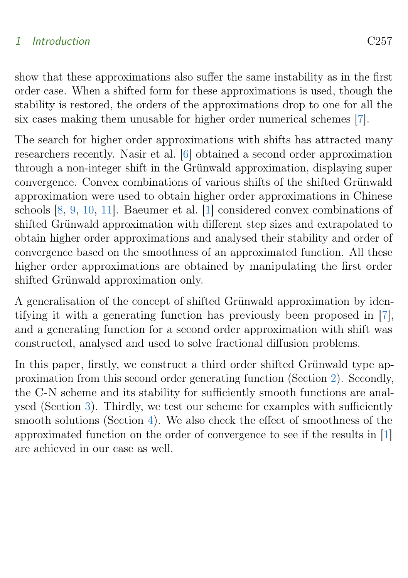### <span id="page-3-1"></span>1 Introduction C257

show that these approximations also suffer the same instability as in the first order case. When a shifted form for these approximations is used, though the stability is restored, the orders of the approximations drop to one for all the six cases making them unusable for higher order numerical schemes [\[7\]](#page-14-4).

The search for higher order approximations with shifts has attracted many researchers recently. Nasir et al. [\[6\]](#page-14-5) obtained a second order approximation through a non-integer shift in the Grünwald approximation, displaying super convergence. Convex combinations of various shifts of the shifted Grünwald approximation were used to obtain higher order approximations in Chinese schools [\[8,](#page-15-2) [9,](#page-15-3) [10,](#page-15-4) [11\]](#page-15-5). Baeumer et al. [\[1\]](#page-14-6) considered convex combinations of shifted Grünwald approximation with different step sizes and extrapolated to obtain higher order approximations and analysed their stability and order of convergence based on the smoothness of an approximated function. All these higher order approximations are obtained by manipulating the first order shifted Grünwald approximation only.

A generalisation of the concept of shifted Grünwald approximation by identifying it with a generating function has previously been proposed in [\[7\]](#page-14-4), and a generating function for a second order approximation with shift was constructed, analysed and used to solve fractional diffusion problems.

<span id="page-3-0"></span>In this paper, firstly, we construct a third order shifted Grünwald type approximation from this second order generating function (Section [2\)](#page-3-0). Secondly, the C-N scheme and its stability for sufficiently smooth functions are analysed (Section [3\)](#page-7-0). Thirdly, we test our scheme for examples with sufficiently smooth solutions (Section [4\)](#page-11-0). We also check the effect of smoothness of the approximated function on the order of convergence to see if the results in [\[1\]](#page-14-6) are achieved in our case as well.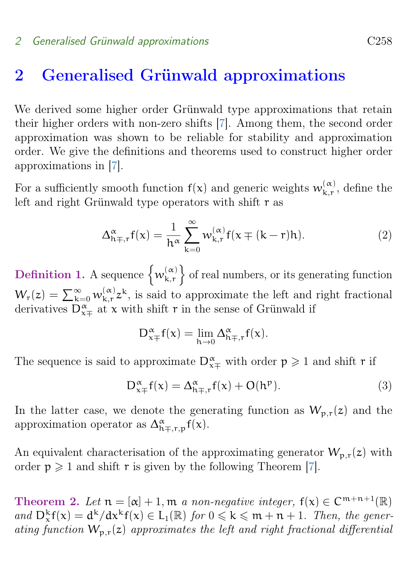## <span id="page-4-1"></span>2 Generalised Grünwald approximations

We derived some higher order Grünwald type approximations that retain their higher orders with non-zero shifts [\[7\]](#page-14-4). Among them, the second order approximation was shown to be reliable for stability and approximation order. We give the definitions and theorems used to construct higher order approximations in [\[7\]](#page-14-4).

For a sufficiently smooth function  $f(x)$  and generic weights  $w_{k,r}^{(\alpha)}$  $\kappa, \kappa, \kappa$ , define the left and right Grünwald type operators with shift r as

$$
\Delta_{h\mp,r}^{\alpha}f(x) = \frac{1}{h^{\alpha}} \sum_{k=0}^{\infty} w_{k,r}^{(\alpha)} f(x \mp (k-r)h).
$$
 (2)

Definition 1. A sequence  $\{w_{k,r}^{(\alpha)}\}$ k,r of real numbers, or its generating function  $W_{\rm r}(z)=\sum_{\rm k=0}^{\infty}w_{\rm k,r}^{(\alpha)}$  $\binom{\alpha}{k,r}$  is said to approximate the left and right fractional derivatives  $D_{x+}^{\alpha}$  at x with shift r in the sense of Grünwald if

$$
D_{x\mp}^{\alpha}f(x)=\lim_{h\rightarrow 0}\Delta_{h\mp,r}^{\alpha}f(x).
$$

The sequence is said to approximate  $D_{x\mp}^{\alpha}$  with order  $p \geq 1$  and shift r if

$$
D_{x+}^{\alpha}f(x) = \Delta_{h\mp,r}^{\alpha}f(x) + O(h^p). \tag{3}
$$

In the latter case, we denote the generating function as  $W_{p,r}(z)$  and the approximation operator as  $\Delta_{h\mp,r,p}^{\alpha}f(x)$ .

An equivalent characterisation of the approximating generator  $W_{p,r}(z)$  with order  $p \geq 1$  and shift r is given by the following Theorem [\[7\]](#page-14-4).

<span id="page-4-0"></span>Theorem 2. Let  $n = [\alpha] + 1$ , m a non-negative integer,  $f(x) \in C^{m+n+1}(\mathbb{R})$ and  $D_x^k f(x) = d^k/dx^k f(x) \in L_1(\mathbb{R})$  for  $0 \leq k \leq m+n+1$ . Then, the generating function  $W_{p,r}(z)$  approximates the left and right fractional differential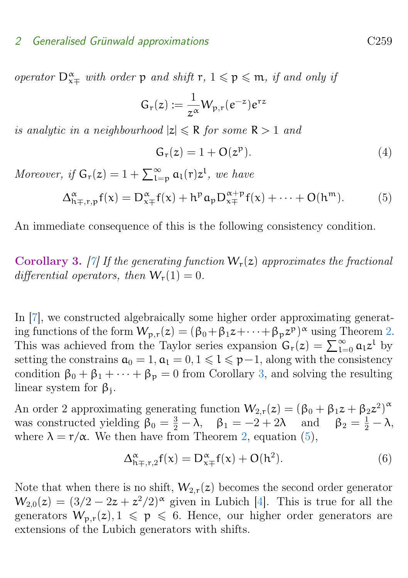#### <span id="page-5-3"></span>2 Generalised Grünwald approximations C259

operator  $D_{\mathbf{x} \mp}^{\alpha}$  with order  $p$  and shift  $r, 1 \leqslant p \leqslant m$ , if and only if

$$
G_r(z) := \frac{1}{z^{\alpha}} W_{p,r}(e^{-z})e^{rz}
$$

is analytic in a neighbourhood  $|z| \le R$  for some  $R > 1$  and

$$
G_r(z) = 1 + O(z^p). \tag{4}
$$

Moreover, if  $G_r(z) = 1 + \sum_{l=p}^{\infty} a_l(r) z^l$ , we have

<span id="page-5-1"></span>
$$
\Delta_{h\mp,r,p}^{\alpha}f(x) = D_{x\mp}^{\alpha}f(x) + h^p a_p D_{x\mp}^{\alpha+p}f(x) + \dots + O(h^m). \tag{5}
$$

An immediate consequence of this is the following consistency condition.

<span id="page-5-0"></span>Corollary 3. [\[7\]](#page-14-4) If the generating function  $W_r(z)$  approximates the fractional differential operators, then  $W_r(1) = 0$ .

In [\[7\]](#page-14-4), we constructed algebraically some higher order approximating generating functions of the form  $W_{p,r}(z) = (\beta_0 + \beta_1 z + \cdots + \beta_p z^p)^{\alpha}$  using Theorem [2.](#page-4-0) This was achieved from the Taylor series expansion  $G_r(z) = \sum_{l=0}^{\infty} a_l z^l$  by setting the constrains  $a_0 = 1, a_1 = 0, 1 \leq l \leq p-1$ , along with the consistency condition  $\beta_0 + \beta_1 + \cdots + \beta_p = 0$  from Corollary [3,](#page-5-0) and solving the resulting linear system for  $\beta_j$ .

An order 2 approximating generating function  $W_{2,r}(z) = (\beta_0 + \beta_1 z + \beta_2 z^2)^{\alpha}$ was constructed yielding  $\beta_0 = \frac{3}{2} - \lambda$ ,  $\beta_1 = -2 + 2\lambda$  and  $\beta_2 = \frac{1}{2} - \lambda$ , where  $\lambda = r/\alpha$ . We then have from Theorem [2,](#page-4-0) equation [\(5\)](#page-5-1),

<span id="page-5-2"></span>
$$
\Delta_{\mathbf{h}\mp,\mathbf{r},2}^{\alpha}\mathbf{f}(\mathbf{x}) = \mathbf{D}_{\mathbf{x}\mp}^{\alpha}\mathbf{f}(\mathbf{x}) + \mathbf{O}(\mathbf{h}^2). \tag{6}
$$

Note that when there is no shift,  $W_{2,r}(z)$  becomes the second order generator  $W_{2,0}(z) = (3/2 - 2z + z^2/2)^{\alpha}$  given in Lubich [\[4\]](#page-14-3). This is true for all the generators  $W_{p,r}(z)$ ,  $1 \leq p \leq 6$ . Hence, our higher order generators are extensions of the Lubich generators with shifts.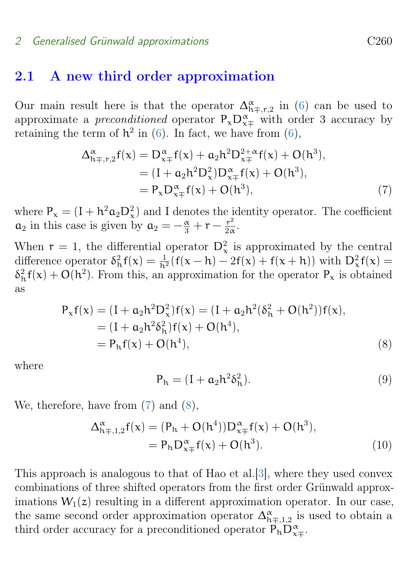#### <span id="page-6-4"></span>2 Generalised Grünwald approximations C260

### <span id="page-6-0"></span>2.1 A new third order approximation

Our main result here is that the operator  $\Delta_{h\mp,r,2}^{\alpha}$  in [\(6\)](#page-5-2) can be used to approximate a *preconditioned* operator  $P_x D_{x\mp}^{\alpha}$  with order 3 accuracy by retaining the term of  $h^2$  in [\(6\)](#page-5-2). In fact, we have from (6),

$$
\Delta_{h\mp,r,2}^{\alpha}f(x) = D_{x\mp}^{\alpha}f(x) + a_2h^2D_{x\mp}^{2+\alpha}f(x) + O(h^3),
$$
  
=  $(I + a_2h^2D_x^2)D_{x\mp}^{\alpha}f(x) + O(h^3),$   
=  $P_xD_{x\mp}^{\alpha}f(x) + O(h^3),$  (7)

where  $P_x = (I + h^2 \alpha_2 D_x^2)$  and I denotes the identity operator. The coefficient  $a_2$  in this case is given by  $a_2 = -\frac{\alpha}{3} + r - \frac{r^2}{2\alpha}$  $rac{\mathbf{r}^2}{2\alpha}$ .

When  $r = 1$ , the differential operator  $D_x^2$  is approximated by the central difference operator  $\delta_h^2 f(x) = \frac{1}{h^2} (f(x-h) - 2f(x) + f(x+h))$  with  $D_x^2 f(x) =$  $\delta_h^2 f(x) + O(h^2)$ . From this, an approximation for the operator  $P_x$  is obtained as

$$
P_x f(x) = (I + a_2 h^2 D_x^2) f(x) = (I + a_2 h^2 (\delta_h^2 + O(h^2)) f(x),
$$
  
= (I + a\_2 h^2 \delta\_h^2) f(x) + O(h^4),  
= P\_h f(x) + O(h^4), (8)

where

<span id="page-6-3"></span><span id="page-6-2"></span><span id="page-6-1"></span>
$$
P_h = (I + a_2 h^2 \delta_h^2). \tag{9}
$$

We, therefore, have from [\(7\)](#page-6-1) and [\(8\)](#page-6-2),

$$
\Delta_{h\mp,1,2}^{\alpha}f(x) = (P_h + O(h^4))D_{x\mp}^{\alpha}f(x) + O(h^3),
$$
  
=  $P_h D_{x\mp}^{\alpha}f(x) + O(h^3).$  (10)

This approach is analogous to that of Hao et al.[\[3\]](#page-14-7), where they used convex combinations of three shifted operators from the first order Grünwald approximations  $W_1(z)$  resulting in a different approximation operator. In our case, the same second order approximation operator  $\Delta_{h\mp,1,2}^{\alpha}$  is used to obtain a third order accuracy for a preconditioned operator  $\overline{P}_h \overline{D}_{x+}^{\alpha}$ .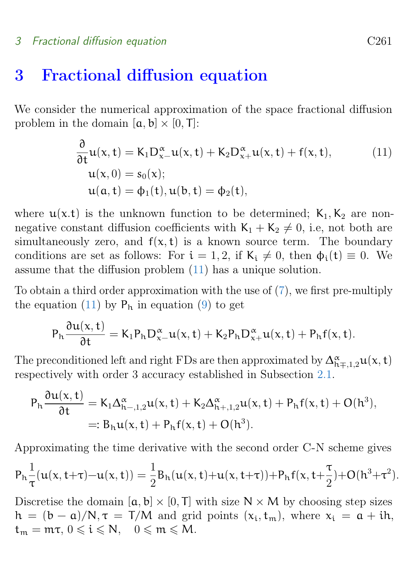#### 3 Fractional diffusion equation C261

## <span id="page-7-0"></span>3 Fractional diffusion equation

We consider the numerical approximation of the space fractional diffusion problem in the domain  $[a, b] \times [0, T]$ :

<span id="page-7-1"></span>
$$
\frac{\partial}{\partial t} u(x, t) = K_1 D_{x-}^{\alpha} u(x, t) + K_2 D_{x+}^{\alpha} u(x, t) + f(x, t),
$$
\n
$$
u(x, 0) = s_0(x);
$$
\n
$$
u(a, t) = \phi_1(t), u(b, t) = \phi_2(t),
$$
\n(11)

where  $u(x,t)$  is the unknown function to be determined;  $K_1, K_2$  are nonnegative constant diffusion coefficients with  $K_1 + K_2 \neq 0$ , i.e, not both are simultaneously zero, and  $f(x, t)$  is a known source term. The boundary conditions are set as follows: For  $i = 1, 2$ , if  $K_i \neq 0$ , then  $\phi_i(t) \equiv 0$ . We assume that the diffusion problem [\(11\)](#page-7-1) has a unique solution.

To obtain a third order approximation with the use of [\(7\)](#page-6-1), we first pre-multiply the equation [\(11\)](#page-7-1) by  $P_h$  in equation [\(9\)](#page-6-3) to get

$$
P_h \frac{\partial u(x,t)}{\partial t} = K_1 P_h D_{x-}^{\alpha} u(x,t) + K_2 P_h D_{x+}^{\alpha} u(x,t) + P_h f(x,t).
$$

The preconditioned left and right FDs are then approximated by  $\Delta_{h\mp,1,2}^{\alpha}u(x,t)$ respectively with order 3 accuracy established in Subsection [2.1.](#page-6-0)

$$
P_h \frac{\partial u(x,t)}{\partial t} = K_1 \Delta_{h-,1,2}^{\alpha} u(x,t) + K_2 \Delta_{h+,1,2}^{\alpha} u(x,t) + P_h f(x,t) + O(h^3),
$$
  
=:  $B_h u(x,t) + P_h f(x,t) + O(h^3).$ 

Approximating the time derivative with the second order C-N scheme gives

$$
P_h \frac{1}{\tau} (u(x,t+\tau) - u(x,t)) = \frac{1}{2} B_h (u(x,t) + u(x,t+\tau)) + P_h f(x,t+\frac{\tau}{2}) + O(h^3+\tau^2).
$$

Discretise the domain  $[a, b] \times [0, T]$  with size  $N \times M$  by choosing step sizes  $h = (b - a)/N$ ,  $\tau = T/M$  and grid points  $(x_i, t_m)$ , where  $x_i = a + ih$ ,  $t_m = m\tau, 0 \leqslant i \leqslant N, 0 \leqslant m \leqslant M.$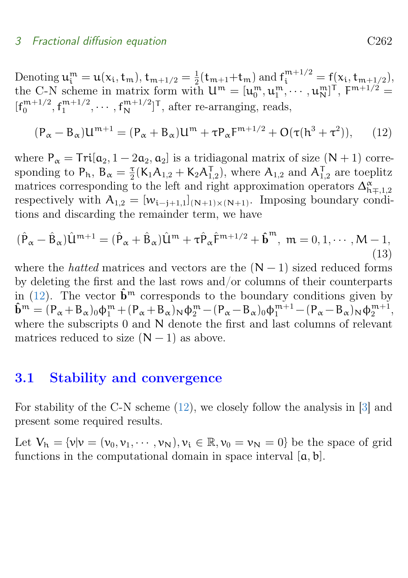<span id="page-8-3"></span>Denoting  $\mathfrak{u}^{\mathfrak{m}}_{\mathfrak{i}} = \mathfrak{u}(\mathfrak{x}_{\mathfrak{i}}, \mathfrak{t}_{\mathfrak{m}}), \mathfrak{t}_{\mathfrak{m}+1/2} = \frac{1}{2}$  $\frac{1}{2}(\mathsf{t}_{m+1}+\mathsf{t}_{m})$  and  $\mathsf{f}_{\mathsf{i}}^{m+1/2} = \mathsf{f}(\mathsf{x}_{\mathsf{i}}, \mathsf{t}_{m+1/2}),$ the C-N scheme in matrix form with  $\mathsf{u}^{\mathfrak{m}} = [\mathsf{u}^{\mathfrak{m}}_{0}, \mathsf{u}^{\mathfrak{m}}_{1}, \cdots, \mathsf{u}^{\mathfrak{m}}_{N}]^{\mathsf{T}}$ ,  $\mathsf{F}^{\mathfrak{m}+1/2}$  $[f_0^{m+1/2}]$  $_{0}^{\mathfrak{m}+1/2},$   $\mathfrak{f}_{1}^{\mathfrak{m}+1/2}$  $\mathbf{f}_{1}^{\mathfrak{m}+1/2}, \cdots, \mathbf{f}_{N}^{\mathfrak{m}+1/2}]^{\mathsf{T}}$ , after re-arranging, reads,

<span id="page-8-1"></span>
$$
(\mathsf{P}_{\alpha} - \mathsf{B}_{\alpha})\mathsf{U}^{\mathsf{m}+1} = (\mathsf{P}_{\alpha} + \mathsf{B}_{\alpha})\mathsf{U}^{\mathsf{m}} + \tau \mathsf{P}_{\alpha} \mathsf{F}^{\mathsf{m}+1/2} + \mathsf{O}(\tau(\mathsf{h}^3 + \tau^2)),\tag{12}
$$

where  $P_{\alpha} = Tri[a_2, 1 - 2a_2, a_2]$  is a tridiagonal matrix of size  $(N + 1)$  corresponding to  $P_h$ ,  $B_\alpha = \frac{\tau}{2}$  $\frac{\tau}{2}$ (K<sub>1</sub>A<sub>1,2</sub> + K<sub>2</sub>A<sub>1,2</sub>), where A<sub>1,2</sub> and A<sub>1,2</sub> are toeplitz matrices corresponding to the left and right approximation operators  $\Delta_{h\mp,1,2}^{\alpha}$ respectively with  $A_{1,2} = [w_{i-i+1,1}]_{(N+1)\times(N+1)}$ . Imposing boundary conditions and discarding the remainder term, we have

<span id="page-8-2"></span>
$$
(\hat{P}_{\alpha} - \hat{B}_{\alpha})\hat{U}^{m+1} = (\hat{P}_{\alpha} + \hat{B}_{\alpha})\hat{U}^m + \tau \hat{P}_{\alpha}\hat{F}^{m+1/2} + \hat{b}^m, \ m = 0, 1, \cdots, M - 1,
$$
\n(13)

where the *hatted* matrices and vectors are the  $(N - 1)$  sized reduced forms by deleting the first and the last rows and/or columns of their counterparts in [\(12\)](#page-8-1). The vector  $\hat{\mathbf{b}}^m$  corresponds to the boundary conditions given by  $\hat{\mathbf{b}}^m = (\mathbf{P}_{\alpha} + \mathbf{B}_{\alpha})_0 \phi_1^m + (\mathbf{P}_{\alpha} + \mathbf{B}_{\alpha})_N \phi_2^m - (\mathbf{P}_{\alpha} - \mathbf{B}_{\alpha})_0 \phi_1^{m+1} - (\mathbf{P}_{\alpha} - \mathbf{B}_{\alpha})_N \phi_2^{m+1},$ where the subscripts 0 and N denote the first and last columns of relevant matrices reduced to size  $(N - 1)$  as above.

## <span id="page-8-0"></span>3.1 Stability and convergence

For stability of the C-N scheme [\(12\)](#page-8-1), we closely follow the analysis in [\[3\]](#page-14-7) and present some required results.

Let  $V_h = \{v|v = (v_0, v_1, \dots, v_N), v_i \in \mathbb{R}, v_0 = v_N = 0\}$  be the space of grid functions in the computational domain in space interval  $[a, b]$ .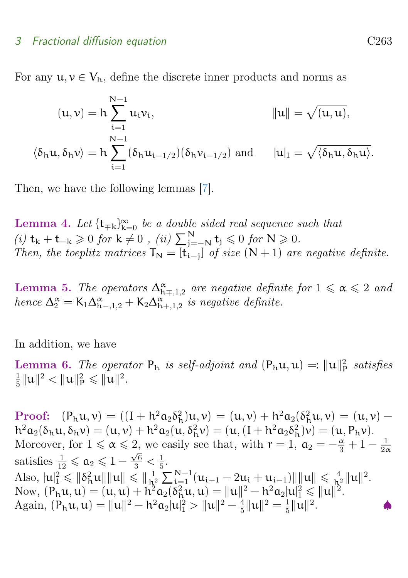#### <span id="page-9-2"></span>3 Fractional diffusion equation C263

For any  $u, v \in V_h$ , define the discrete inner products and norms as

$$
(\mathbf{u}, \mathbf{v}) = \mathbf{h} \sum_{i=1}^{N-1} u_i v_i, \qquad \qquad ||\mathbf{u}|| = \sqrt{(\mathbf{u}, \mathbf{u})},
$$

$$
\langle \delta_{\mathbf{h}} \mathbf{u}, \delta_{\mathbf{h}} \mathbf{v} \rangle = \mathbf{h} \sum_{i=1}^{N-1} (\delta_{\mathbf{h}} u_{i-1/2}) (\delta_{\mathbf{h}} v_{i-1/2}) \text{ and } \qquad | \mathbf{u} |_{1} = \sqrt{\langle \delta_{\mathbf{h}} \mathbf{u}, \delta_{\mathbf{h}} \mathbf{u} \rangle}.
$$

Then, we have the following lemmas  $|7|$ .

Lemma 4. Let  $\{t_{\mp k}\}_{k=0}^{\infty}$  be a double sided real sequence such that Let  $k_+$  be  $k_+$  t<sub>∓k j<sub>k=0</sub> be a about stated real sequence s<br>(i)  $t_k + t_{-k} \geq 0$  for  $k \neq 0$ , (ii)  $\sum_{j=-N}^{N} t_j \leq 0$  for  $N \geq 0$ .</sub> Then, the toeplitz matrices  $T_N = [t_{i-j}]$  of size  $(N + 1)$  are negative definite.

<span id="page-9-0"></span>Lemma 5. The operators  $\Delta_{h\mp,1,2}^{\alpha}$  are negative definite for  $1 \leq \alpha \leq 2$  and hence  $\Delta_2^{\alpha} = \mathsf{K}_1 \Delta_{\mathsf{h}^-,1,2}^{\alpha} + \mathsf{K}_2 \Delta_{\mathsf{h}^+,1,2}^{\alpha}$  is negative definite.

In addition, we have

**Lemma 6.** The operator  $P_h$  is self-adjoint and  $(P_h\mathfrak{u}, \mathfrak{u}) =: ||\mathfrak{u}||_P^2$  satisfies 1  $\frac{1}{5} \| \mathfrak{u} \|^2 < \| \mathfrak{u} \|^2_{\textsf{P}} \leqslant \| \mathfrak{u} \|^2.$ 

<span id="page-9-1"></span>Proof:  $(P_h u, v) = ((I + h^2 a_2 \delta_h^2) u, v) = (u, v) + h^2 a_2 (\delta_h^2 u, v) = (u, v)$  $h^2 a_2(\delta_h u, \delta_h v) = (u, v) + h^2 a_2(u, \delta_h^2 v) = (u, (I + h^2 a_2 \delta_h^2)v) = (u, P_h v).$ Moreover, for  $1 \le \alpha \le 2$ , we easily see that, with  $r = 1$ ,  $\alpha_2 = -\frac{\alpha}{3} + 1 - \frac{1}{2\alpha}$ 2, we casing see that, when  $1 - 1$ ,  $\alpha_2 - 3 + 1 = 2\alpha$ satisfies  $\frac{1}{12} \leqslant a_2 \leqslant 1 - \frac{\sqrt{6}}{3} < \frac{1}{5}$  $\frac{1}{5}$ . Also,  $|u|_1^2 \leqslant \|\delta_h^2 u\| \|u\| \leqslant \|\frac{1}{h^2}\|$  $\frac{1}{h^2}\sum_{i=1}^{N-1}(u_{i+1}-2u_i+u_{i-1})\|\|u\|\leqslant \frac{4}{h^2}\|u\|^2.$ Now,  $(P_h u, u) = (u, u) + h^2 a_2(\delta_h^2 u, u) = ||u||^2 - h^2 a_2 |u|_1^2 \le ||u||^2$ . Again,  $(P_h u, u) = ||u||^2 - h^2 a_2 |u|_1^2 > ||u||^2 - \frac{4}{5}$  $\frac{4}{5}$ ||u||<sup>2</sup> =  $\frac{1}{5}$  $\frac{1}{5}$ ||u||<sup>2</sup>  $\bullet$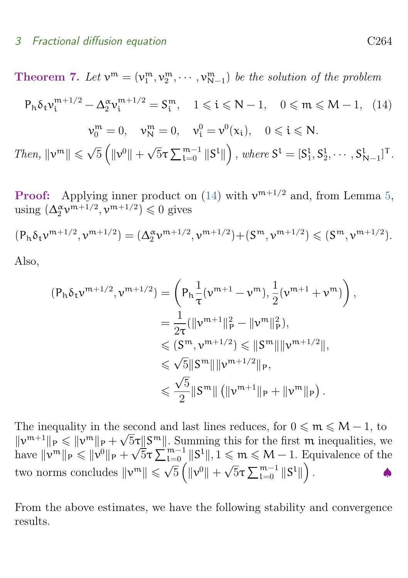<span id="page-10-0"></span>**Theorem 7.** Let  $v^m = (v_1^m, v_2^m, \dots, v_{N-1}^m)$  be the solution of the problem  $P_h \delta_t v_i^{m+1/2} - \Delta_2^{\alpha} v_i^{m+1/2} = S_i^m$ ,  $1 \le i \le N-1$ ,  $0 \le m \le M-1$ , (14)  $v_0^m = 0$ ,  $v_N^m = 0$ ,  $v_i^0 = v^0(x_i)$ ,  $0 \le i \le N$ . Then,  $\|\mathbf{v}^m\| \leq \sqrt{\mathbf{v}}$  $\overline{5}\left(\|\mathbf{\nu}^0\|+\right.$ √  $\overline{5}\tau\sum_{\mathsf{L}=0}^{\mathsf{m}-1}\Vert\mathsf{S}^{\mathsf{L}}\Vert\Big)\,,\,where \, \mathsf{S}^{\mathsf{L}}= [\mathsf{S}_1^{\mathsf{L}},\mathsf{S}_2^{\mathsf{L}},\cdots,\mathsf{S}_{\mathsf{N}-1}^{\mathsf{L}}]^\mathsf{T}.$ 

**Proof:** Applying inner product on [\(14\)](#page-10-0) with  $v^{m+1/2}$  and, from Lemma [5,](#page-9-0) using  $(\Delta_2^{\alpha} \mathbf{v}^{m+1/2}, \mathbf{v}^{m+1/2}) \leq 0$  gives

$$
(P_h \delta_t \nu^{m+1/2}, \nu^{m+1/2}) = (\Delta_2^{\alpha} \nu^{m+1/2}, \nu^{m+1/2}) + (S^m, \nu^{m+1/2}) \leq (S^m, \nu^{m+1/2}).
$$

Also,

$$
(P_h \delta_t v^{m+1/2}, v^{m+1/2}) = \left( P_h \frac{1}{\tau} (v^{m+1} - v^m), \frac{1}{2} (v^{m+1} + v^m) \right),
$$
  
\n
$$
= \frac{1}{2\tau} (\|v^{m+1}\|_p^2 - \|v^m\|_p^2),
$$
  
\n
$$
\leq (S^m, v^{m+1/2}) \leq \|S^m\| \|v^{m+1/2}\|,
$$
  
\n
$$
\leq \sqrt{5} \|S^m\| \|v^{m+1/2}\|_p,
$$
  
\n
$$
\leq \frac{\sqrt{5}}{2} \|S^m\| (\|v^{m+1}\|_p + \|v^m\|_p).
$$

The inequality in the second and last lines reduces, for  $0 \le m \le M - 1$ , to  $||v^{m+1}||_P \le ||v^m||_P + \sqrt{5}\tau||S^m||$ . Summing this for the first m inequalities, we have  $\|\nu^m\|_P \leqslant \|\nu^0\|_P +$ √  $\overline{5}\tau\sum_{l=0}^{m-1}||S^l||, 1 \leqslant m \leqslant M-1.$  Equivalence of the two norms concludes  $\|\nu^m\| \leqslant \sqrt{5} \left( \|\nu^0\| + \sqrt{5} \tau \sum_{l=0}^{m-1} \|S^l\| \right)$ -  $\frac{1}{\sqrt{2}}$   $\int_{0}^{\frac{\pi}{2}}$   $\frac{1}{2}$   $\int_{0}^{\frac{\pi}{2}}$   $\frac{1}{2}$   $\int_{0}^{\frac{\pi}{2}}$   $\frac{1}{2}$   $\int_{0}^{\frac{\pi}{2}}$   $\frac{1}{2}$   $\int_{0}^{\frac{\pi}{2}}$   $\frac{1}{2}$   $\int_{0}^{\frac{\pi}{2}}$   $\frac{1}{2}$   $\int_{0}^{\frac{\pi}{2}}$   $\frac{1}{2}$   $\int_{0}^{\frac{\pi}{2}}$   $\frac{1}{2$  $\bullet$ 

From the above estimates, we have the following stability and convergence results.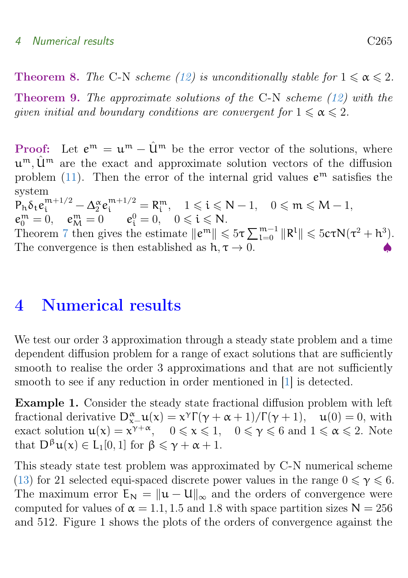### <span id="page-11-1"></span>4 Numerical results C265

**Theorem 8.** The C-N scheme [\(12\)](#page-8-1) is unconditionally stable for  $1 \le \alpha \le 2$ .

Theorem 9. The approximate solutions of the C-N scheme [\(12\)](#page-8-1) with the given initial and boundary conditions are convergent for  $1 \le \alpha \le 2$ .

**Proof:** Let  $e^m = u^m - \hat{u}^m$  be the error vector of the solutions, where  $u^m$ ,  $\hat{u}^m$  are the exact and approximate solution vectors of the diffusion problem [\(11\)](#page-7-1). Then the error of the internal grid values  $e^{m}$  satisfies the system

 $\mathsf{P}_h \delta_t e_i^{m+1/2} - \Delta_2^{\alpha} e_i^{m+1/2} = \mathsf{R}_i^m, \quad 1 \leqslant i \leqslant N-1, \quad 0 \leqslant m \leqslant M-1,$  $e_0^{\mathfrak{m}} = 0, \quad e_M^{\mathfrak{m}} = 0 \qquad e_i^0 = 0, \quad 0 \leq \mathfrak{i} \leq \mathsf{N}.$ Theorem [7](#page-9-1) then gives the estimate  $||e^m|| \leq 5\tau \sum_{l=0}^{m-1} ||R^l|| \leq 5c\tau N(\tau^2 + h^3)$ .

The convergence is then established as  $h, \tau \rightarrow 0$ .

# <span id="page-11-0"></span>4 Numerical results

We test our order 3 approximation through a steady state problem and a time dependent diffusion problem for a range of exact solutions that are sufficiently smooth to realise the order 3 approximations and that are not sufficiently smooth to see if any reduction in order mentioned in [\[1\]](#page-14-6) is detected.

Example 1. Consider the steady state fractional diffusion problem with left fractional derivative  $D_{x-}^{\alpha}u(x) = x^{\gamma}\Gamma(\gamma + \alpha + 1)/\Gamma(\gamma + 1)$ ,  $u(0) = 0$ , with exact solution  $u(x) = x^{\gamma + \alpha}$ ,  $0 \le x \le 1$ ,  $0 \le \gamma \le 6$  and  $1 \le \alpha \le 2$ . Note that  $D^{\beta}u(x) \in L_1[0,1]$  for  $\beta \leq \gamma + \alpha + 1$ .

This steady state test problem was approximated by C-N numerical scheme [\(13\)](#page-8-2) for 21 selected equi-spaced discrete power values in the range  $0 \le \gamma \le 6$ . The maximum error  $E_N = ||u - U||_{\infty}$  and the orders of convergence were computed for values of  $\alpha = 1.1, 1.5$  and 1.8 with space partition sizes  $N = 256$ and 512. Figure 1 shows the plots of the orders of convergence against the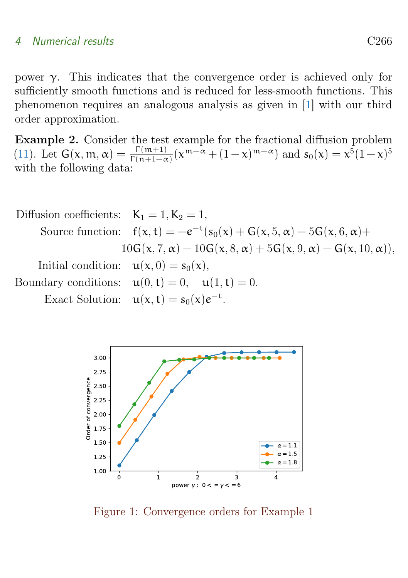#### <span id="page-12-0"></span>4 Numerical results C266

power γ. This indicates that the convergence order is achieved only for sufficiently smooth functions and is reduced for less-smooth functions. This phenomenon requires an analogous analysis as given in [\[1\]](#page-14-6) with our third order approximation.

Example 2. Consider the test example for the fractional diffusion problem [\(11\)](#page-7-1). Let  $G(x, m, \alpha) = \frac{\Gamma(m+1)}{\Gamma(n+1-\alpha)} (x^{m-\alpha} + (1-x)^{m-\alpha})$  and  $s_0(x) = x^5(1-x)^5$ with the following data:

\nDiffusion coefficients: \n
$$
K_1 = 1, K_2 = 1,
$$
\n\nSource function: \n $f(x, t) = -e^{-t}(s_0(x) + G(x, 5, \alpha) - 5G(x, 6, \alpha) + 10G(x, 7, \alpha) - 10G(x, 8, \alpha) + 5G(x, 9, \alpha) - G(x, 10, \alpha)),$ \n\nInitial condition: \n $u(x, 0) = s_0(x),$ \n\nBoundary conditions: \n $u(0, t) = 0, \quad u(1, t) = 0.$ \n\nExact Solution: \n $u(x, t) = s_0(x)e^{-t}.$ \n



Figure 1: Convergence orders for Example 1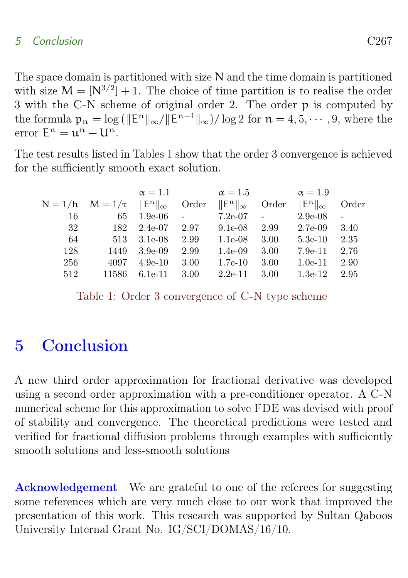## 5 Conclusion C267

The space domain is partitioned with size N and the time domain is partitioned with size  $M = [N^{3/2}] + 1$ . The choice of time partition is to realise the order 3 with the C-N scheme of original order 2. The order p is computed by the formula  $p_n = \log (||E^n||_{\infty}/||E^{n-1}||_{\infty})/\log 2$  for  $n = 4, 5, \dots, 9$ , where the  $error E^n = u^n - U^n.$ 

|           |              | $\alpha = 1.1$              |        | $\alpha = 1.5$              |       | $\alpha = 1.9$                       |                |
|-----------|--------------|-----------------------------|--------|-----------------------------|-------|--------------------------------------|----------------|
| $N = 1/h$ | $M = 1/\tau$ | $\ \mathsf{E}^n\ _{\infty}$ | Order  | $\ \mathsf{E}^n\ _{\infty}$ | Order | $\ \mathsf{E}^\mathfrak{n}\ _\infty$ | Order          |
| 16        | 65           | $1.9e-06$                   | $\sim$ | $7.2e-07$                   |       | $2.9e-08$                            | $\overline{a}$ |
| 32        | 182          | $2.4e-07$                   | 2.97   | $9.1e-08$                   | 2.99  | $2.7e-0.9$                           | 3.40           |
| 64        | 513          | $3.1e-08$                   | 2.99   | $1.1e-08$                   | 3.00  | $5.3e-10$                            | 2.35           |
| 128       | 1449         | $3.9e-0.9$                  | 2.99   | $1.4e-0.9$                  | 3.00  | $7.9e-11$                            | 2.76           |
| 256       | 4097         | $4.9e-10$                   | 3.00   | $1.7e-10$                   | 3.00  | $1.0e-11$                            | 2.90           |
| 512       | 11586        | $6.1e-11$                   | 3.00   | $2.2e-11$                   | 3.00  | $1.3e-12$                            | 2.95           |

The test results listed in Tables [1](#page-13-1) show that the order 3 convergence is achieved for the sufficiently smooth exact solution.

<span id="page-13-1"></span>Table 1: Order 3 convergence of C-N type scheme

# <span id="page-13-0"></span>5 Conclusion

A new third order approximation for fractional derivative was developed using a second order approximation with a pre-conditioner operator. A C-N numerical scheme for this approximation to solve FDE was devised with proof of stability and convergence. The theoretical predictions were tested and verified for fractional diffusion problems through examples with sufficiently smooth solutions and less-smooth solutions

Acknowledgement We are grateful to one of the referees for suggesting some references which are very much close to our work that improved the presentation of this work. This research was supported by Sultan Qaboos University Internal Grant No. IG/SCI/DOMAS/16/10.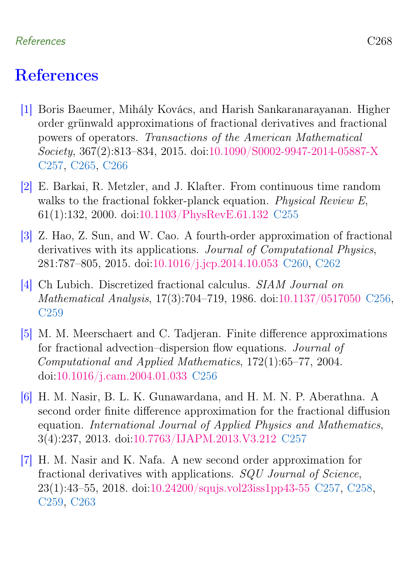## References C268

# <span id="page-14-0"></span>**References**

- <span id="page-14-6"></span>[1] Boris Baeumer, Mihály Kovács, and Harish Sankaranarayanan. Higher order grünwald approximations of fractional derivatives and fractional powers of operators. Transactions of the American Mathematical Society, 367(2):813–834, 2015. doi[:10.1090/S0002-9947-2014-05887-X](https://doi.org/10.1090/S0002-9947-2014-05887-X) [C257,](#page-3-1) [C265,](#page-11-1) [C266](#page-12-0)
- <span id="page-14-1"></span>[2] E. Barkai, R. Metzler, and J. Klafter. From continuous time random walks to the fractional fokker-planck equation. Physical Review E, 61(1):132, 2000. doi[:10.1103/PhysRevE.61.132](https://doi.org/10.1103/PhysRevE.61.132) [C255](#page-1-1)
- <span id="page-14-7"></span>[3] Z. Hao, Z. Sun, and W. Cao. A fourth-order approximation of fractional derivatives with its applications. Journal of Computational Physics, 281:787–805, 2015. doi[:10.1016/j.jcp.2014.10.053](https://doi.org/{10.1016/j.jcp.2014.10.053}) [C260,](#page-6-4) [C262](#page-8-3)
- <span id="page-14-3"></span>[4] Ch Lubich. Discretized fractional calculus. SIAM Journal on Mathematical Analysis, 17(3):704–719, 1986. doi[:10.1137/0517050](https://doi.org/10.1137/0517050) [C256,](#page-2-1) [C259](#page-5-3)
- <span id="page-14-2"></span>[5] M. M. Meerschaert and C. Tadjeran. Finite difference approximations for fractional advection–dispersion flow equations. Journal of Computational and Applied Mathematics, 172(1):65–77, 2004. doi[:10.1016/j.cam.2004.01.033](https://doi.org/10.1016/j.cam.2004.01.033) [C256](#page-2-1)
- <span id="page-14-5"></span>[6] H. M. Nasir, B. L. K. Gunawardana, and H. M. N. P. Aberathna. A second order finite difference approximation for the fractional diffusion equation. International Journal of Applied Physics and Mathematics, 3(4):237, 2013. doi[:10.7763/IJAPM.2013.V3.212](https://doi.org/10.7763/IJAPM.2013.V3.212) [C257](#page-3-1)
- <span id="page-14-4"></span>[7] H. M. Nasir and K. Nafa. A new second order approximation for fractional derivatives with applications. SQU Journal of Science, 23(1):43–55, 2018. doi[:10.24200/squjs.vol23iss1pp43-55](https://doi.org/10.24200/squjs.vol23iss1pp43-55) [C257,](#page-3-1) [C258,](#page-4-1) [C259,](#page-5-3) [C263](#page-9-2)